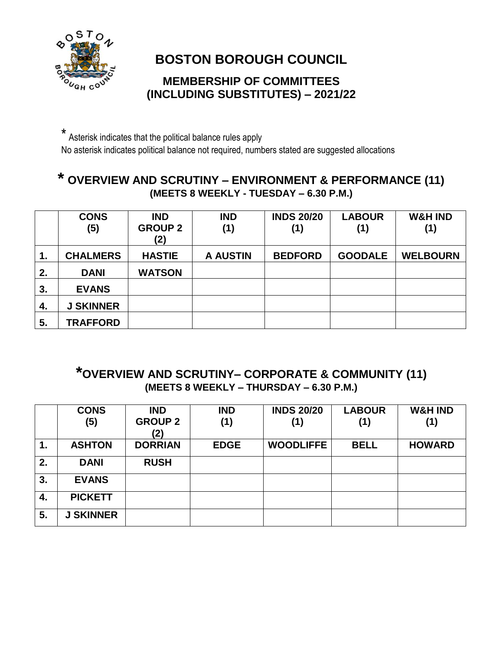

# **BOSTON BOROUGH COUNCIL**

#### **MEMBERSHIP OF COMMITTEES (INCLUDING SUBSTITUTES) – 2021/22**

\* Asterisk indicates that the political balance rules apply No asterisk indicates political balance not required, numbers stated are suggested allocations

### **\* OVERVIEW AND SCRUTINY – ENVIRONMENT & PERFORMANCE (11) (MEETS 8 WEEKLY - TUESDAY – 6.30 P.M.)**

|    | <b>CONS</b><br>(5) | <b>IND</b><br><b>GROUP 2</b><br>(2) | <b>IND</b><br>(1) | <b>INDS 20/20</b><br>(1) | <b>LABOUR</b><br>(1) | <b>W&amp;H IND</b><br>(1) |
|----|--------------------|-------------------------------------|-------------------|--------------------------|----------------------|---------------------------|
| 1. | <b>CHALMERS</b>    | <b>HASTIE</b>                       | <b>A AUSTIN</b>   | <b>BEDFORD</b>           | <b>GOODALE</b>       | <b>WELBOURN</b>           |
| 2. | <b>DANI</b>        | <b>WATSON</b>                       |                   |                          |                      |                           |
| 3. | <b>EVANS</b>       |                                     |                   |                          |                      |                           |
| 4. | <b>J SKINNER</b>   |                                     |                   |                          |                      |                           |
| 5. | <b>TRAFFORD</b>    |                                     |                   |                          |                      |                           |

### **\*OVERVIEW AND SCRUTINY– CORPORATE & COMMUNITY (11) (MEETS 8 WEEKLY – THURSDAY – 6.30 P.M.)**

|    | <b>CONS</b>      | <b>IND</b>            | <b>IND</b>  | <b>INDS 20/20</b> | <b>LABOUR</b> | <b>W&amp;H IND</b> |
|----|------------------|-----------------------|-------------|-------------------|---------------|--------------------|
|    | (5)              | <b>GROUP 2</b><br>(2) | (1)         | (1)               | (1)           | (1)                |
| 1. | <b>ASHTON</b>    | <b>DORRIAN</b>        | <b>EDGE</b> | <b>WOODLIFFE</b>  | <b>BELL</b>   | <b>HOWARD</b>      |
| 2. | <b>DANI</b>      | <b>RUSH</b>           |             |                   |               |                    |
| 3. | <b>EVANS</b>     |                       |             |                   |               |                    |
| 4. | <b>PICKETT</b>   |                       |             |                   |               |                    |
| 5. | <b>J SKINNER</b> |                       |             |                   |               |                    |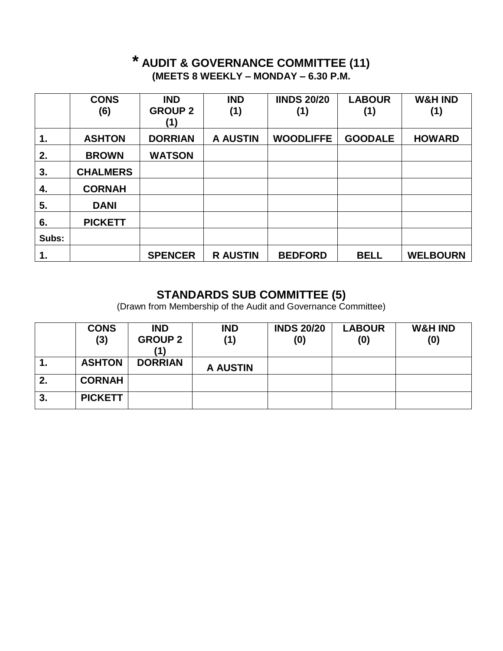### **\* AUDIT & GOVERNANCE COMMITTEE (11) (MEETS 8 WEEKLY – MONDAY – 6.30 P.M.**

|       | <b>CONS</b>     | <b>IND</b>     | <b>IND</b>      | <b>IINDS 20/20</b> | <b>LABOUR</b>  | <b>W&amp;H IND</b> |
|-------|-----------------|----------------|-----------------|--------------------|----------------|--------------------|
|       | (6)             | <b>GROUP 2</b> | (1)             | (1)                | (1)            | (1)                |
| 1.    | <b>ASHTON</b>   | <b>DORRIAN</b> | <b>A AUSTIN</b> | <b>WOODLIFFE</b>   | <b>GOODALE</b> | <b>HOWARD</b>      |
| 2.    | <b>BROWN</b>    | <b>WATSON</b>  |                 |                    |                |                    |
| 3.    | <b>CHALMERS</b> |                |                 |                    |                |                    |
| 4.    | <b>CORNAH</b>   |                |                 |                    |                |                    |
| 5.    | <b>DANI</b>     |                |                 |                    |                |                    |
| 6.    | <b>PICKETT</b>  |                |                 |                    |                |                    |
| Subs: |                 |                |                 |                    |                |                    |
| 1.    |                 | <b>SPENCER</b> | <b>R AUSTIN</b> | <b>BEDFORD</b>     | <b>BELL</b>    | <b>WELBOURN</b>    |

#### **STANDARDS SUB COMMITTEE (5)**

(Drawn from Membership of the Audit and Governance Committee)

|    | <b>CONS</b><br>(3) | <b>IND</b><br><b>GROUP 2</b> | <b>IND</b><br>(1) | <b>INDS 20/20</b><br>(0) | <b>LABOUR</b><br>(0) | <b>W&amp;H IND</b><br>(0) |
|----|--------------------|------------------------------|-------------------|--------------------------|----------------------|---------------------------|
| 1. | <b>ASHTON</b>      | <b>DORRIAN</b>               | <b>A AUSTIN</b>   |                          |                      |                           |
| 2. | <b>CORNAH</b>      |                              |                   |                          |                      |                           |
| 3. | <b>PICKETT</b>     |                              |                   |                          |                      |                           |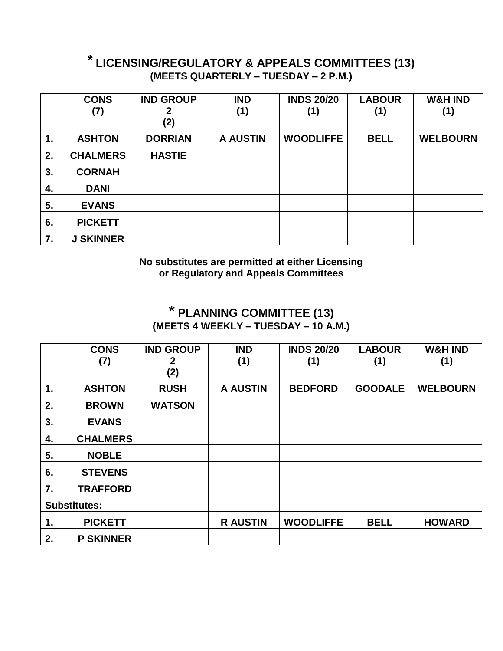### **\* LICENSING/REGULATORY & APPEALS COMMITTEES (13) (MEETS QUARTERLY – TUESDAY – 2 P.M.)**

|    | <b>CONS</b>      | <b>IND GROUP</b> | <b>IND</b>      | <b>INDS 20/20</b> | <b>LABOUR</b> | <b>W&amp;H IND</b> |
|----|------------------|------------------|-----------------|-------------------|---------------|--------------------|
|    | (7)              | (2)              | (1)             | (1)               | (1)           | (1)                |
| 1. | <b>ASHTON</b>    | <b>DORRIAN</b>   | <b>A AUSTIN</b> | <b>WOODLIFFE</b>  | <b>BELL</b>   | <b>WELBOURN</b>    |
| 2. | <b>CHALMERS</b>  | <b>HASTIE</b>    |                 |                   |               |                    |
| 3. | <b>CORNAH</b>    |                  |                 |                   |               |                    |
| 4. | <b>DANI</b>      |                  |                 |                   |               |                    |
| 5. | <b>EVANS</b>     |                  |                 |                   |               |                    |
| 6. | <b>PICKETT</b>   |                  |                 |                   |               |                    |
| 7. | <b>J SKINNER</b> |                  |                 |                   |               |                    |

**No substitutes are permitted at either Licensing or Regulatory and Appeals Committees**

## \* **PLANNING COMMITTEE (13) (MEETS 4 WEEKLY – TUESDAY – 10 A.M.)**

|    | <b>CONS</b><br>(7)  | <b>IND GROUP</b><br>2<br>(2) | <b>IND</b><br>(1) | <b>INDS 20/20</b><br>(1) | <b>LABOUR</b><br>(1) | <b>W&amp;H IND</b><br>(1) |
|----|---------------------|------------------------------|-------------------|--------------------------|----------------------|---------------------------|
| 1. | <b>ASHTON</b>       | <b>RUSH</b>                  | <b>A AUSTIN</b>   | <b>BEDFORD</b>           | <b>GOODALE</b>       | <b>WELBOURN</b>           |
| 2. | <b>BROWN</b>        | <b>WATSON</b>                |                   |                          |                      |                           |
| 3. | <b>EVANS</b>        |                              |                   |                          |                      |                           |
| 4. | <b>CHALMERS</b>     |                              |                   |                          |                      |                           |
| 5. | <b>NOBLE</b>        |                              |                   |                          |                      |                           |
| 6. | <b>STEVENS</b>      |                              |                   |                          |                      |                           |
| 7. | <b>TRAFFORD</b>     |                              |                   |                          |                      |                           |
|    | <b>Substitutes:</b> |                              |                   |                          |                      |                           |
| 1. | <b>PICKETT</b>      |                              | <b>R AUSTIN</b>   | <b>WOODLIFFE</b>         | <b>BELL</b>          | <b>HOWARD</b>             |
| 2. | <b>P SKINNER</b>    |                              |                   |                          |                      |                           |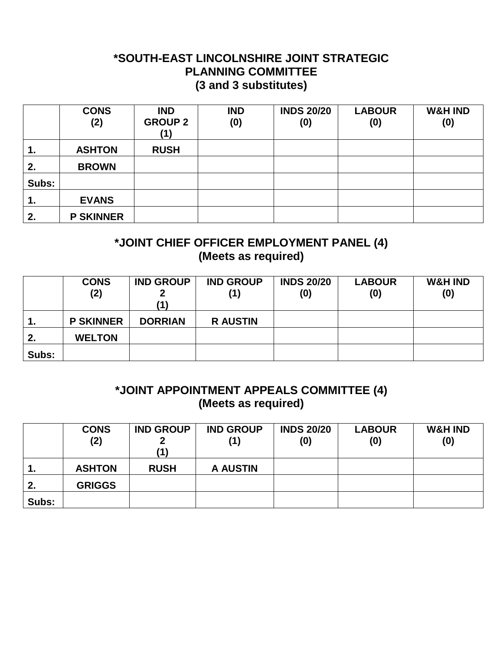#### **\*SOUTH-EAST LINCOLNSHIRE JOINT STRATEGIC PLANNING COMMITTEE (3 and 3 substitutes)**

|       | <b>CONS</b><br>(2) | <b>IND</b><br><b>GROUP 2</b><br>(1) | <b>IND</b><br>(0) | <b>INDS 20/20</b><br>(0) | <b>LABOUR</b><br>(0) | <b>W&amp;H IND</b><br>(0) |
|-------|--------------------|-------------------------------------|-------------------|--------------------------|----------------------|---------------------------|
| 1.    | <b>ASHTON</b>      | <b>RUSH</b>                         |                   |                          |                      |                           |
| 2.    | <b>BROWN</b>       |                                     |                   |                          |                      |                           |
| Subs: |                    |                                     |                   |                          |                      |                           |
| 1.    | <b>EVANS</b>       |                                     |                   |                          |                      |                           |
| 2.    | <b>P SKINNER</b>   |                                     |                   |                          |                      |                           |

### **\*JOINT CHIEF OFFICER EMPLOYMENT PANEL (4) (Meets as required)**

|                | <b>CONS</b><br>(2) | <b>IND GROUP</b><br>11 \ | <b>IND GROUP</b><br>(1) | <b>INDS 20/20</b><br>(0) | <b>LABOUR</b><br>(0) | <b>W&amp;H IND</b><br>(0) |
|----------------|--------------------|--------------------------|-------------------------|--------------------------|----------------------|---------------------------|
| $\mathbf{1}$ . | <b>P SKINNER</b>   | <b>DORRIAN</b>           | <b>R AUSTIN</b>         |                          |                      |                           |
| 2.             | <b>WELTON</b>      |                          |                         |                          |                      |                           |
| Subs:          |                    |                          |                         |                          |                      |                           |

#### **\*JOINT APPOINTMENT APPEALS COMMITTEE (4) (Meets as required)**

|       | <b>CONS</b><br>(2) | <b>IND GROUP</b><br>(1) | <b>IND GROUP</b><br>(1) | <b>INDS 20/20</b><br>(0) | <b>LABOUR</b><br>(0) | <b>W&amp;H IND</b><br>(0) |
|-------|--------------------|-------------------------|-------------------------|--------------------------|----------------------|---------------------------|
| 1.    | <b>ASHTON</b>      | <b>RUSH</b>             | <b>A AUSTIN</b>         |                          |                      |                           |
| 2.    | <b>GRIGGS</b>      |                         |                         |                          |                      |                           |
| Subs: |                    |                         |                         |                          |                      |                           |